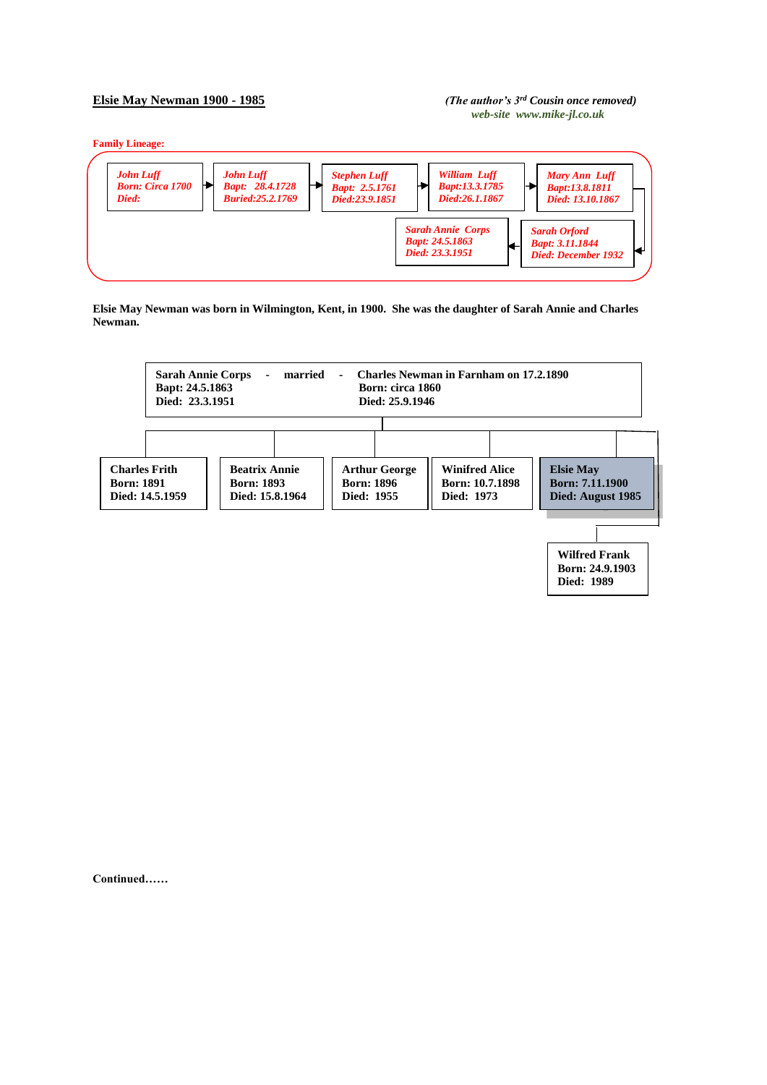## **Elsie May Newman 1900 - 1985** *(The author's 3rd Cousin once removed)**web-site www.mike-jl.co.uk*

**Family Lineage:**



**Elsie May Newman was born in Wilmington, Kent, in 1900. She was the daughter of Sarah Annie and Charles Newman.**



**Continued……**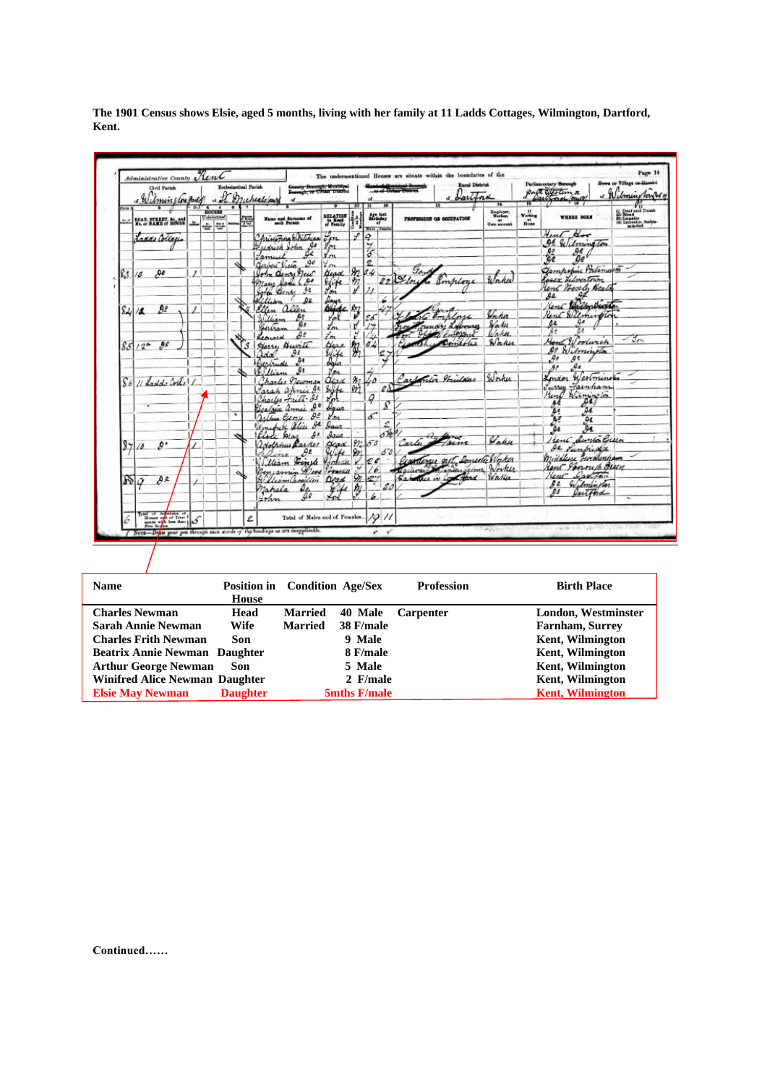|                    | Civil Parish<br>a Wilminston Body                                                                                                                                                                                                                                                                                                                                                                                                                                         |          | ol art.                                                                        | <b>Ecclesiastical Parish</b> |   | Genety Berough, Mentched<br>Berough, or Urean District<br>unealogue |                       |                    | d                                                                            | or of Links        |                     | <b>Rural District</b><br>d bartond | 14                                | 13                          | Parliamentary Burough<br>Protocon a             | Town or Village on Hamiet<br>« Wilmin Nonger                                                          |
|--------------------|---------------------------------------------------------------------------------------------------------------------------------------------------------------------------------------------------------------------------------------------------------------------------------------------------------------------------------------------------------------------------------------------------------------------------------------------------------------------------|----------|--------------------------------------------------------------------------------|------------------------------|---|---------------------------------------------------------------------|-----------------------|--------------------|------------------------------------------------------------------------------|--------------------|---------------------|------------------------------------|-----------------------------------|-----------------------------|-------------------------------------------------|-------------------------------------------------------------------------------------------------------|
| <b>Dolla</b><br>55 | ROAD, STREET, &c., and<br>No. or NAME of ROUSE                                                                                                                                                                                                                                                                                                                                                                                                                            |          | $3\sqrt{4}$<br>$\overline{a}$<br><b>HOUSES</b><br><b>Uninhabited</b><br>÷<br>÷ |                              | 彊 | Name and Surname of                                                 | RELATION              |                    | n<br>$\mathop{\mathsf{aff}}\limits^{\mathsf{A}}_{\mathsf{aff}\mathsf{Aday}}$ |                    |                     | <b>PROPESSION OR OCCUPATION</b>    | Engloyer<br>Worker<br>Own account | п<br>Working<br>at.<br>Home | <b>WHEERE BORN</b>                              | (1) Deaf and Dumb<br>(3) Nind<br>(3) Nind<br>(4) Lubectic, fashier<br>(4) Lubectic, fashier<br>minded |
|                    | Laddo Collacia                                                                                                                                                                                                                                                                                                                                                                                                                                                            |          |                                                                                |                              |   | fristopha Whitehead                                                 | $\sqrt[n]{m}$         |                    | Blazz / Femal<br>Ο                                                           |                    |                     |                                    |                                   |                             | Hent Hor                                        |                                                                                                       |
|                    |                                                                                                                                                                                                                                                                                                                                                                                                                                                                           |          |                                                                                |                              |   | $\mathcal{C}$<br>udrick John<br>u                                   | 8m<br>Ym              |                    | $\frac{7}{3}$                                                                |                    |                     |                                    |                                   |                             | 00 Wilmington<br>$rac{65}{65}$<br>Ŗ€            |                                                                                                       |
|                    |                                                                                                                                                                                                                                                                                                                                                                                                                                                                           |          |                                                                                |                              |   | ame<br>$\mathcal{P}$<br>Gerben Viera                                | You                   |                    | 2                                                                            |                    |                     |                                    |                                   |                             | Ъo                                              |                                                                                                       |
| 83/6               | ۵e                                                                                                                                                                                                                                                                                                                                                                                                                                                                        | $\prime$ |                                                                                |                              |   | John Denry New                                                      | Gead                  | $\mathcal{H}$      | 34                                                                           | 02 Hou             | Gar                 | Ronploye                           |                                   |                             | Gampopine Portsmouth<br><b>Easex Librartown</b> |                                                                                                       |
|                    |                                                                                                                                                                                                                                                                                                                                                                                                                                                                           |          |                                                                                |                              |   | 90<br>Jane<br>11.442<br>Я£<br>John Bens                             | type                  | 977                |                                                                              |                    |                     |                                    |                                   |                             | lent Besely Beats                               |                                                                                                       |
|                    |                                                                                                                                                                                                                                                                                                                                                                                                                                                                           |          |                                                                                |                              |   | ۵z<br>Gillian                                                       | days                  |                    |                                                                              |                    |                     |                                    |                                   |                             | ۵d<br>se<br>Kent Bulborbuckton                  |                                                                                                       |
|                    | 92<br>$S_{4}/4$                                                                                                                                                                                                                                                                                                                                                                                                                                                           |          |                                                                                |                              |   | allen<br>Ellen<br>Ą٥                                                | Buide m<br>You        |                    |                                                                              |                    |                     | Employe                            | Venka                             |                             | Rent Wilmington                                 |                                                                                                       |
|                    |                                                                                                                                                                                                                                                                                                                                                                                                                                                                           |          |                                                                                |                              |   | William<br>Ĥг<br>Gertran                                            | Lon                   |                    | 26                                                                           |                    |                     | rundry Labourez                    | Wakes                             |                             | ΔŁ                                              |                                                                                                       |
|                    |                                                                                                                                                                                                                                                                                                                                                                                                                                                                           |          |                                                                                |                              |   | рe<br>Kennard                                                       | Lon                   | ч                  |                                                                              |                    |                     | Colombiant                         | Waha.<br>Worke                    |                             | 9.5<br>Hand Woodwich                            | $-2m$                                                                                                 |
|                    | яe<br>$851/2^*$                                                                                                                                                                                                                                                                                                                                                                                                                                                           |          |                                                                                |                              | 4 | Burth<br>Sarry<br>$\partial$ ž<br>adal                              | Heav                  | 絮                  | 04                                                                           |                    |                     | Domerice                           |                                   |                             | $\mathfrak{a}$<br>Wilmington                    |                                                                                                       |
|                    |                                                                                                                                                                                                                                                                                                                                                                                                                                                                           |          |                                                                                |                              |   | Gerbude                                                             | ly ife<br>Organ       |                    |                                                                              |                    |                     |                                    |                                   |                             | $\mathcal{S}$<br>Aª<br>As                       |                                                                                                       |
|                    |                                                                                                                                                                                                                                                                                                                                                                                                                                                                           |          |                                                                                |                              |   | ه ۱<br>William                                                      | ปัดน                  |                    |                                                                              |                    |                     | artonion Printdes                  | Worker                            |                             | جهر<br>Kongon Westminster                       |                                                                                                       |
| $S_{\theta}$       | 11 Ladde Cortel /                                                                                                                                                                                                                                                                                                                                                                                                                                                         |          |                                                                                |                              |   | harles newman<br>AŁ<br>Jarah<br>annie                               | $\alpha_{2}$<br>Siste | $\frac{a}{2}$<br>m | úΔ                                                                           | $\ell\delta\Gamma$ |                     |                                    |                                   |                             | Jurry Fainham                                   |                                                                                                       |
|                    |                                                                                                                                                                                                                                                                                                                                                                                                                                                                           |          |                                                                                |                              |   | Charles Fritt &                                                     |                       |                    | $\mathcal{Q}$                                                                |                    |                     |                                    |                                   |                             | Hend Wilmington<br>$\overline{\mathcal{L}}$     |                                                                                                       |
|                    |                                                                                                                                                                                                                                                                                                                                                                                                                                                                           |          |                                                                                | ٠                            |   | Geofrix anni<br>92                                                  | Inun                  |                    | 5                                                                            | s                  |                     |                                    |                                   |                             | Ar<br>ρø                                        |                                                                                                       |
|                    |                                                                                                                                                                                                                                                                                                                                                                                                                                                                           |          |                                                                                |                              |   | Joshua Crony<br>$\mu$<br>Line Oline                                 | You<br>Agus           |                    |                                                                              | 2                  |                     |                                    |                                   |                             | Ņ.<br>Ag<br><b>De</b>                           |                                                                                                       |
|                    |                                                                                                                                                                                                                                                                                                                                                                                                                                                                           |          |                                                                                |                              |   | Elode Mar<br>40                                                     | Isur                  |                    |                                                                              | ort                | $\epsilon_{\rm eq}$ |                                    | Waker                             |                             | Je s<br>Heni Dunto Green                        |                                                                                                       |
| $\frac{8}{7}$      | ø٠<br>10                                                                                                                                                                                                                                                                                                                                                                                                                                                                  |          |                                                                                |                              |   | adolphus Racker<br>$\theta$ s                                       | Bead                  | 922<br>9n          | 50                                                                           | 50                 | Carles              | facme                              |                                   |                             | de Punkida                                      |                                                                                                       |
|                    |                                                                                                                                                                                                                                                                                                                                                                                                                                                                           |          |                                                                                |                              |   | aira<br>Finde<br>Uliam                                              | Hodian                |                    | 20                                                                           |                    |                     | Goodinger out Domeste Wighes       |                                   |                             | middlesse Zwichenham                            |                                                                                                       |
|                    |                                                                                                                                                                                                                                                                                                                                                                                                                                                                           |          |                                                                                |                              |   | $\mathscr{L}_{\mathscr{H}}$<br>Penjamin                             | 92 rathle             |                    |                                                                              |                    |                     |                                    |                                   |                             | Lant Jonouch Brun<br>Lauthu<br>rent             |                                                                                                       |
| ₩                  | ₿£<br>$\varphi$                                                                                                                                                                                                                                                                                                                                                                                                                                                           |          |                                                                                |                              |   | lliamassillin<br>mahala                                             | Oled                  | $\gamma$           | 27                                                                           | 30                 |                     | Salution in Contact Waller         |                                   |                             | Wilminston<br>яe                                |                                                                                                       |
|                    |                                                                                                                                                                                                                                                                                                                                                                                                                                                                           |          |                                                                                |                              |   | ûê<br>John                                                          |                       | Ą                  |                                                                              |                    |                     |                                    |                                   |                             | $\mathfrak{g}_{\mathfrak{s}}$<br>Partford       |                                                                                                       |
| b                  | $\begin{array}{c}\n\text{Var} = \frac{1}{\sqrt{2}} \left  \frac{1}{\sqrt{2}} \right  \left  \frac{d}{d} \right  \left  \frac{d}{d} \right  \left  \frac{d}{d} \right  \left  \frac{d}{d} \right  \left  \frac{d}{d} \right  \left  \frac{d}{d} \right  \left  \frac{d}{d} \right  \left  \frac{d}{d} \right  \left  \frac{d}{d} \right  \left  \frac{d}{d} \right  \left  \frac{d}{d} \right  \left  \frac{d}{d} \right  \left  \frac{d}{d} \right  \left  \frac{d}{d} \$ |          |                                                                                |                              | Ź | Total of Males and of Females                                       |                       |                    | 19 11                                                                        |                    |                     |                                    |                                   |                             |                                                 |                                                                                                       |

**The 1901 Census shows Elsie, aged 5 months, living with her family at 11 Ladds Cottages, Wilmington, Dartford, Kent.**

| <b>Name</b>                           | <b>Position in</b> Condition Age/Sex |                |              | <b>Profession</b> | <b>Birth Place</b>      |
|---------------------------------------|--------------------------------------|----------------|--------------|-------------------|-------------------------|
|                                       | House                                |                |              |                   |                         |
| <b>Charles Newman</b>                 | Head                                 | <b>Married</b> | 40 Male      | <b>Carpenter</b>  | London, Westminster     |
| <b>Sarah Annie Newman</b>             | Wife                                 | <b>Married</b> | 38 F/male    |                   | <b>Farnham, Surrey</b>  |
| <b>Charles Frith Newman</b>           | Son                                  |                | 9 Male       |                   | <b>Kent, Wilmington</b> |
| <b>Beatrix Annie Newman Daughter</b>  |                                      |                | 8 F/male     |                   | <b>Kent, Wilmington</b> |
| <b>Arthur George Newman</b>           | Son                                  |                | 5 Male       |                   | <b>Kent, Wilmington</b> |
| <b>Winifred Alice Newman Daughter</b> |                                      |                | 2 F/male     |                   | <b>Kent, Wilmington</b> |
| <b>Elsie May Newman</b>               | <b>Daughter</b>                      |                | 5mths F/male |                   | <b>Kent, Wilmington</b> |

**Continued……**